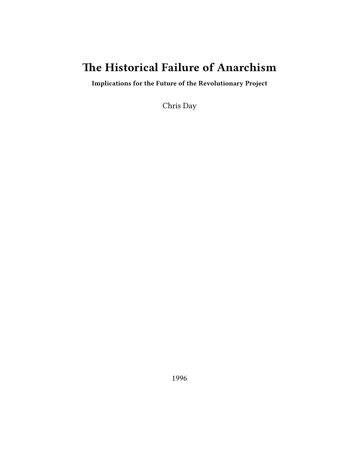# **The Historical Failure of Anarchism**

**Implications for the Future of the Revolutionary Project**

Chris Day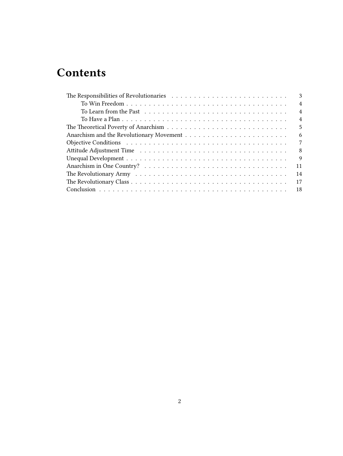# **Contents**

| 3                                                                                                                                                                                                                                    |
|--------------------------------------------------------------------------------------------------------------------------------------------------------------------------------------------------------------------------------------|
| $\overline{4}$                                                                                                                                                                                                                       |
| $\overline{4}$                                                                                                                                                                                                                       |
| $\overline{4}$                                                                                                                                                                                                                       |
| 5                                                                                                                                                                                                                                    |
| 6                                                                                                                                                                                                                                    |
| 7                                                                                                                                                                                                                                    |
| 8                                                                                                                                                                                                                                    |
| 9                                                                                                                                                                                                                                    |
| 11                                                                                                                                                                                                                                   |
| 14<br>The Revolutionary Army resources in the contract of the Revolutionary Army resources in the contract of the Revolution of the Revolution of the Revolution of the Revolution of the Revolution of the Revolution of the Revolu |
| 17                                                                                                                                                                                                                                   |
| - 18                                                                                                                                                                                                                                 |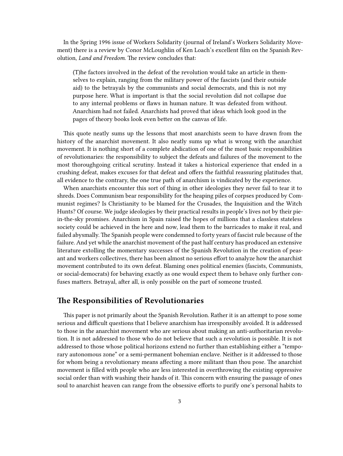In the Spring 1996 issue of Workers Solidarity (journal of Ireland's Workers Solidarity Movement) there is a review by Conor McLoughlin of Ken Loach's excellent film on the Spanish Revolution, *Land and Freedom*. The review concludes that:

(T)he factors involved in the defeat of the revolution would take an article in themselves to explain, ranging from the military power of the fascists (and their outside aid) to the betrayals by the communists and social democrats, and this is not my purpose here. What is important is that the social revolution did not collapse due to any internal problems or flaws in human nature. It was defeated from without. Anarchism had not failed. Anarchists had proved that ideas which look good in the pages of theory books look even better on the canvas of life.

This quote neatly sums up the lessons that most anarchists seem to have drawn from the history of the anarchist movement. It also neatly sums up what is wrong with the anarchist movement. It is nothing short of a complete abdication of one of the most basic responsibilities of revolutionaries: the responsibility to subject the defeats and failures of the movement to the most thoroughgoing critical scrutiny. Instead it takes a historical experience that ended in a crushing defeat, makes excuses for that defeat and offers the faithful reassuring platitudes that, all evidence to the contrary, the one true path of anarchism is vindicated by the experience.

When anarchists encounter this sort of thing in other ideologies they never fail to tear it to shreds. Does Communism bear responsibility for the heaping piles of corpses produced by Communist regimes? Is Christianity to be blamed for the Crusades, the Inquisition and the Witch Hunts? Of course. We judge ideologies by their practical results in people's lives not by their piein-the-sky promises. Anarchism in Spain raised the hopes of millions that a classless stateless society could be achieved in the here and now, lead them to the barricades to make it real, and failed abysmally. The Spanish people were condemned to forty years of fascist rule because of the failure. And yet while the anarchist movement of the past half century has produced an extensive literature extolling the momentary successes of the Spanish Revolution in the creation of peasant and workers collectives, there has been almost no serious effort to analyze how the anarchist movement contributed to its own defeat. Blaming ones political enemies (fascists, Communists, or social-democrats) for behaving exactly as one would expect them to behave only further confuses matters. Betrayal, after all, is only possible on the part of someone trusted.

### <span id="page-2-0"></span>**The Responsibilities of Revolutionaries**

This paper is not primarily about the Spanish Revolution. Rather it is an attempt to pose some serious and difficult questions that I believe anarchism has irresponsibly avoided. It is addressed to those in the anarchist movement who are serious about making an anti-authoritarian revolution. It is not addressed to those who do not believe that such a revolution is possible. It is not addressed to those whose political horizons extend no further than establishing either a "temporary autonomous zone" or a semi-permanent bohemian enclave. Neither is it addressed to those for whom being a revolutionary means affecting a more militant than thou pose. The anarchist movement is filled with people who are less interested in overthrowing the existing oppressive social order than with washing their hands of it. This concern with ensuring the passage of ones soul to anarchist heaven can range from the obsessive efforts to purify one's personal habits to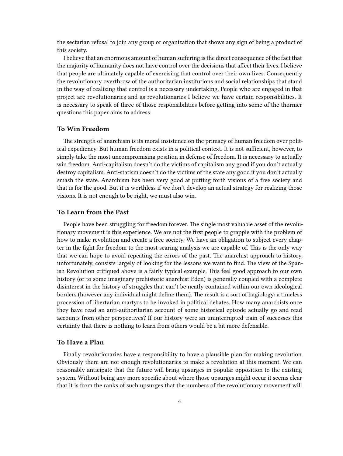the sectarian refusal to join any group or organization that shows any sign of being a product of this society.

I believe that an enormous amount of human suffering is the direct consequence of the fact that the majority of humanity does not have control over the decisions that affect their lives. I believe that people are ultimately capable of exercising that control over their own lives. Consequently the revolutionary overthrow of the authoritarian institutions and social relationships that stand in the way of realizing that control is a necessary undertaking. People who are engaged in that project are revolutionaries and as revolutionaries I believe we have certain responsibilities. It is necessary to speak of three of those responsibilities before getting into some of the thornier questions this paper aims to address.

#### <span id="page-3-0"></span>**To Win Freedom**

The strength of anarchism is its moral insistence on the primacy of human freedom over political expediency. But human freedom exists in a political context. It is not sufficient, however, to simply take the most uncompromising position in defense of freedom. It is necessary to actually win freedom. Anti-capitalism doesn't do the victims of capitalism any good if you don't actually destroy capitalism. Anti-statism doesn't do the victims of the state any good if you don't actually smash the state. Anarchism has been very good at putting forth visions of a free society and that is for the good. But it is worthless if we don't develop an actual strategy for realizing those visions. It is not enough to be right, we must also win.

#### <span id="page-3-1"></span>**To Learn from the Past**

People have been struggling for freedom forever. The single most valuable asset of the revolutionary movement is this experience. We are not the first people to grapple with the problem of how to make revolution and create a free society. We have an obligation to subject every chapter in the fight for freedom to the most searing analysis we are capable of. This is the only way that we can hope to avoid repeating the errors of the past. The anarchist approach to history, unfortunately, consists largely of looking for the lessons we want to find. The view of the Spanish Revolution critiqued above is a fairly typical example. This feel good approach to our own history (or to some imaginary prehistoric anarchist Eden) is generally coupled with a complete disinterest in the history of struggles that can't be neatly contained within our own ideological borders (however any individual might define them). The result is a sort of hagiology: a timeless procession of libertarian martyrs to be invoked in political debates. How many anarchists once they have read an anti-authoritarian account of some historical episode actually go and read accounts from other perspectives? If our history were an uninterrupted train of successes this certainty that there is nothing to learn from others would be a bit more defensible.

#### <span id="page-3-2"></span>**To Have a Plan**

Finally revolutionaries have a responsibility to have a plausible plan for making revolution. Obviously there are not enough revolutionaries to make a revolution at this moment. We can reasonably anticipate that the future will bring upsurges in popular opposition to the existing system. Without being any more specific about where those upsurges might occur it seems clear that it is from the ranks of such upsurges that the numbers of the revolutionary movement will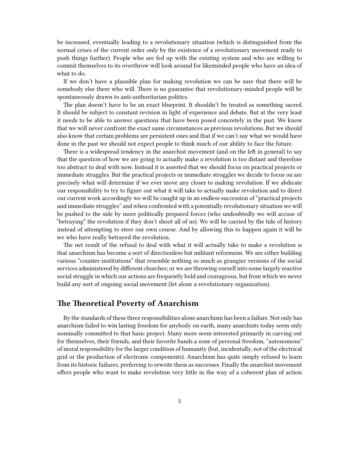be increased, eventually leading to a revolutionary situation (which is distinguished from the normal crises of the current order only by the existence of a revolutionary movement ready to push things further). People who are fed up with the existing system and who are willing to commit themselves to its overthrow will look around for likeminded people who have an idea of what to do.

If we don't have a plausible plan for making revolution we can be sure that there will be somebody else there who will. There is no guarantee that revolutionary-minded people will be spontaneously drawn to anti-authoritarian politics.

The plan doesn't have to be an exact blueprint. It shouldn't be treated as something sacred. It should be subject to constant revision in light of experience and debate. But at the very least it needs to be able to answer questions that have been posed concretely in the past. We know that we will never confront the exact same circumstances as previous revolutions. But we should also know that certain problems are persistent ones and that if we can't say what we would have done in the past we should not expect people to think much of our ability to face the future.

There is a widespread tendency in the anarchist movement (and on the left in general) to say that the question of how we are going to actually make a revolution is too distant and therefore too abstract to deal with now. Instead it is asserted that we should focus on practical projects or immediate struggles. But the practical projects or immediate struggles we decide to focus on are precisely what will determine if we ever move any closer to making revolution. If we abdicate our responsibility to try to figure out what it will take to actually make revolution and to direct our current work accordingly we will be caught up in an endless succession of "practical projects and immediate struggles" and when confronted with a potentially revolutionary situation we will be pushed to the side by more politically prepared forces (who undoubtedly we will accuse of "betraying" the revolution if they don't shoot all of us). We will be carried by the tide of history instead of attempting to steer our own course. And by allowing this to happen again it will be we who have really betrayed the revolution.

The net result of the refusal to deal with what it will actually take to make a revolution is that anarchism has become a sort of directionless but militant reformism. We are either building various "counter-institutions" that resemble nothing so much as grungier versions of the social services administered by different churches; or we are throwing ourself into some largely reactive social struggle in which our actions are frequently bold and courageous, but from which we never build any sort of ongoing social movement (let alone a revolutionary organization).

## <span id="page-4-0"></span>**The Theoretical Poverty of Anarchism**

By the standards of these three responsibilities alone anarchism has been a failure. Not only has anarchism failed to win lasting freedom for anybody on earth, many anarchists today seem only nominally committed to that basic project. Many more seem interested primarily in carving out for themselves, their friends, and their favorite bands a zone of personal freedom, "autonomous" of moral responsibility for the larger condition of humanity (but, incidentally, not of the electrical grid or the production of electronic components). Anarchism has quite simply refused to learn from its historic failures, preferring to rewrite them as successes. Finally the anarchist movement offers people who want to make revolution very little in the way of a coherent plan of action.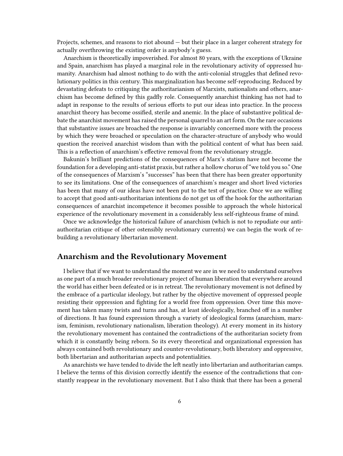Projects, schemes, and reasons to riot abound — but their place in a larger coherent strategy for actually overthrowing the existing order is anybody's guess.

Anarchism is theoretically impoverished. For almost 80 years, with the exceptions of Ukraine and Spain, anarchism has played a marginal role in the revolutionary activity of oppressed humanity. Anarchism had almost nothing to do with the anti-colonial struggles that defined revolutionary politics in this century. This marginalization has become self-reproducing. Reduced by devastating defeats to critiquing the authoritarianism of Marxists, nationalists and others, anarchism has become defined by this gadfly role. Consequently anarchist thinking has not had to adapt in response to the results of serious efforts to put our ideas into practice. In the process anarchist theory has become ossified, sterile and anemic. In the place of substantive political debate the anarchist movement has raised the personal quarrel to an art form. On the rare occasions that substantive issues are broached the response is invariably concerned more with the process by which they were broached or speculation on the character-structure of anybody who would question the received anarchist wisdom than with the political content of what has been said. This is a reflection of anarchism's effective removal from the revolutionary struggle.

Bakunin's brilliant predictions of the consequences of Marx's statism have not become the foundation for a developing anti-statist praxis, but rather a hollow chorus of "we told you so." One of the consequences of Marxism's "successes" has been that there has been greater opportunity to see its limitations. One of the consequences of anarchism's meager and short lived victories has been that many of our ideas have not been put to the test of practice. Once we are willing to accept that good anti-authoritarian intentions do not get us off the hook for the authoritarian consequences of anarchist incompetence it becomes possible to approach the whole historical experience of the revolutionary movement in a considerably less self-righteous frame of mind.

Once we acknowledge the historical failure of anarchism (which is not to repudiate our antiauthoritarian critique of other ostensibly revolutionary currents) we can begin the work of rebuilding a revolutionary libertarian movement.

### <span id="page-5-0"></span>**Anarchism and the Revolutionary Movement**

I believe that if we want to understand the moment we are in we need to understand ourselves as one part of a much broader revolutionary project of human liberation that everywhere around the world has either been defeated or is in retreat. The revolutionary movement is not defined by the embrace of a particular ideology, but rather by the objective movement of oppressed people resisting their oppression and fighting for a world free from oppression. Over time this movement has taken many twists and turns and has, at least ideologically, branched off in a number of directions. It has found expression through a variety of ideological forms (anarchism, marxism, feminism, revolutionary nationalism, liberation theology). At every moment in its history the revolutionary movement has contained the contradictions of the authoritarian society from which it is constantly being reborn. So its every theoretical and organizational expression has always contained both revolutionary and counter-revolutionary, both liberatory and oppressive, both libertarian and authoritarian aspects and potentialities.

As anarchists we have tended to divide the left neatly into libertarian and authoritarian camps. I believe the terms of this division correctly identify the essence of the contradictions that constantly reappear in the revolutionary movement. But I also think that there has been a general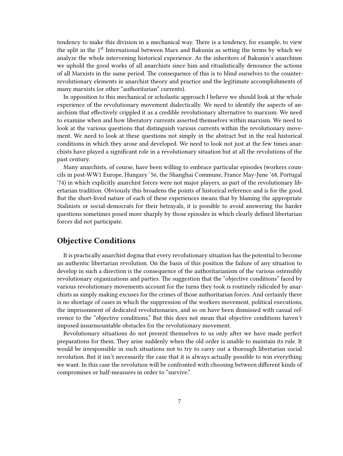tendency to make this division in a mechanical way. There is a tendency, for example, to view the split in the 1<sup>st</sup> International between Marx and Bakunin as setting the terms by which we analyze the whole intervening historical experience. As the inheritors of Bakunin's anarchism we uphold the good works of all anarchists since him and ritualistically denounce the actions of all Marxists in the same period. The consequence of this is to blind ourselves to the counterrevolutionary elements in anarchist theory and practice and the legitimate accomplishments of many marxists (or other "authoritarian" currents).

In opposition to this mechanical or scholastic approach I believe we should look at the whole experience of the revolutionary movement dialectically. We need to identify the aspects of anarchism that effectively crippled it as a credible revolutionary alternative to marxism. We need to examine when and how liberatory currents asserted themselves within marxism. We need to look at the various questions that distinguish various currents within the revolutionary movement. We need to look at these questions not simply in the abstract but in the real historical conditions in which they arose and developed. We need to look not just at the few times anarchists have played a significant role in a revolutionary situation but at all the revolutions of the past century.

Many anarchists, of course, have been willing to embrace particular episodes (workers councils in post-WW1 Europe, Hungary '56, the Shanghai Commune, France May-June '68, Portugal '74) in which explicitly anarchist forces were not major players, as part of the revolutionary libertarian tradition. Obviously this broadens the points of historical reference and is for the good. But the short-lived nature of each of these experiences means that by blaming the appropriate Stalinists or social-democrats for their betrayals, it is possible to avoid answering the harder questions sometimes posed more sharply by those episodes in which clearly defined libertarian forces did not participate.

#### <span id="page-6-0"></span>**Objective Conditions**

It is practically anarchist dogma that every revolutionary situation has the potential to become an authentic libertarian revolution. On the basis of this position the failure of any situation to develop in such a direction is the consequence of the authoritarianism of the various ostensibly revolutionary organizations and parties. The suggestion that the "objective conditions" faced by various revolutionary movements account for the turns they took is routinely ridiculed by anarchists as simply making excuses for the crimes of those authoritarian forces. And certainly there is no shortage of cases in which the suppression of the workers movement, political executions, the imprisonment of dedicated revolutionaries, and so on have been dismissed with casual reference to the "objective conditions." But this does not mean that objective conditions haven't imposed insurmountable obstacles for the revolutionary movement.

Revolutionary situations do not present themselves to us only after we have made perfect preparations for them. They arise suddenly when the old order is unable to maintain its rule. It would be irresponsible in such situations not to try to carry out a thorough libertarian social revolution. But it isn't necessarily the case that it is always actually possible to win everything we want. In this case the revolution will be confronted with choosing between different kinds of compromises or half-measures in order to "survive."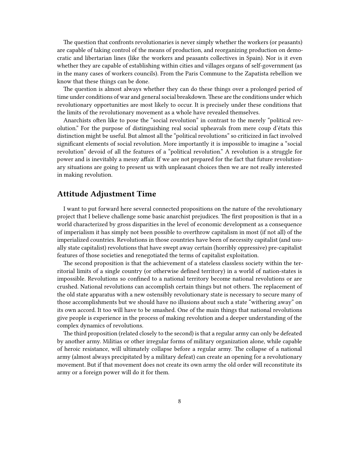The question that confronts revolutionaries is never simply whether the workers (or peasants) are capable of taking control of the means of production, and reorganizing production on democratic and libertarian lines (like the workers and peasants collectives in Spain). Nor is it even whether they are capable of establishing within cities and villages organs of self-government (as in the many cases of workers councils). From the Paris Commune to the Zapatista rebellion we know that these things can be done.

The question is almost always whether they can do these things over a prolonged period of time under conditions of war and general social breakdown. These are the conditions under which revolutionary opportunities are most likely to occur. It is precisely under these conditions that the limits of the revolutionary movement as a whole have revealed themselves.

Anarchists often like to pose the "social revolution" in contrast to the merely "political revolution." For the purpose of distinguishing real social upheavals from mere coup d'états this distinction might be useful. But almost all the "political revolutions" so criticized in fact involved significant elements of social revolution. More importantly it is impossible to imagine a "social revolution" devoid of all the features of a "political revolution." A revolution is a struggle for power and is inevitably a messy affair. If we are not prepared for the fact that future revolutionary situations are going to present us with unpleasant choices then we are not really interested in making revolution.

#### <span id="page-7-0"></span>**Attitude Adjustment Time**

I want to put forward here several connected propositions on the nature of the revolutionary project that I believe challenge some basic anarchist prejudices. The first proposition is that in a world characterized by gross disparities in the level of economic development as a consequence of imperialism it has simply not been possible to overthrow capitalism in most (if not all) of the imperialized countries. Revolutions in those countries have been of necessity capitalist (and usually state capitalist) revolutions that have swept away certain (horribly oppressive) pre-capitalist features of those societies and renegotiated the terms of capitalist exploitation.

The second proposition is that the achievement of a stateless classless society within the territorial limits of a single country (or otherwise defined territory) in a world of nation-states is impossible. Revolutions so confined to a national territory become national revolutions or are crushed. National revolutions can accomplish certain things but not others. The replacement of the old state apparatus with a new ostensibly revolutionary state is necessary to secure many of those accomplishments but we should have no illusions about such a state "withering away" on its own accord. It too will have to be smashed. One of the main things that national revolutions give people is experience in the process of making revolution and a deeper understanding of the complex dynamics of revolutions.

The third proposition (related closely to the second) is that a regular army can only be defeated by another army. Militias or other irregular forms of military organization alone, while capable of heroic resistance, will ultimately collapse before a regular army. The collapse of a national army (almost always precipitated by a military defeat) can create an opening for a revolutionary movement. But if that movement does not create its own army the old order will reconstitute its army or a foreign power will do it for them.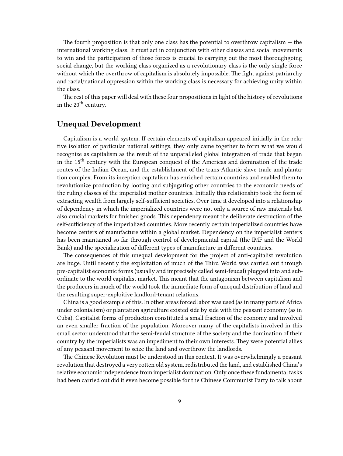The fourth proposition is that only one class has the potential to overthrow capitalism  $-$  the international working class. It must act in conjunction with other classes and social movements to win and the participation of those forces is crucial to carrying out the most thoroughgoing social change, but the working class organized as a revolutionary class is the only single force without which the overthrow of capitalism is absolutely impossible. The fight against patriarchy and racial/national oppression within the working class is necessary for achieving unity within the class.

The rest of this paper will deal with these four propositions in light of the history of revolutions in the 20<sup>th</sup> century.

### <span id="page-8-0"></span>**Unequal Development**

Capitalism is a world system. If certain elements of capitalism appeared initially in the relative isolation of particular national settings, they only came together to form what we would recognize as capitalism as the result of the unparalleled global integration of trade that began in the 15<sup>th</sup> century with the European conquest of the Americas and domination of the trade routes of the Indian Ocean, and the establishment of the trans-Atlantic slave trade and plantation complex. From its inception capitalism has enriched certain countries and enabled them to revolutionize production by looting and subjugating other countries to the economic needs of the ruling classes of the imperialist mother countries. Initially this relationship took the form of extracting wealth from largely self-sufficient societies. Over time it developed into a relationship of dependency in which the imperialized countries were not only a source of raw materials but also crucial markets for finished goods. This dependency meant the deliberate destruction of the self-sufficiency of the imperialized countries. More recently certain imperialized countries have become centers of manufacture within a global market. Dependency on the imperialist centers has been maintained so far through control of developmental capital (the IMF and the World Bank) and the specialization of different types of manufacture in different countries.

The consequences of this unequal development for the project of anti-capitalist revolution are huge. Until recently the exploitation of much of the Third World was carried out through pre-capitalist economic forms (usually and imprecisely called semi-feudal) plugged into and subordinate to the world capitalist market. This meant that the antagonism between capitalism and the producers in much of the world took the immediate form of unequal distribution of land and the resulting super-exploitive landlord-tenant relations.

China is a good example of this. In other areas forced labor was used (as in many parts of Africa under colonialism) or plantation agriculture existed side by side with the peasant economy (as in Cuba). Capitalist forms of production constituted a small fraction of the economy and involved an even smaller fraction of the population. Moreover many of the capitalists involved in this small sector understood that the semi-feudal structure of the society and the domination of their country by the imperialists was an impediment to their own interests. They were potential allies of any peasant movement to seize the land and overthrow the landlords.

The Chinese Revolution must be understood in this context. It was overwhelmingly a peasant revolution that destroyed a very rotten old system, redistributed the land, and established China's relative economic independence from imperialist domination. Only once these fundamental tasks had been carried out did it even become possible for the Chinese Communist Party to talk about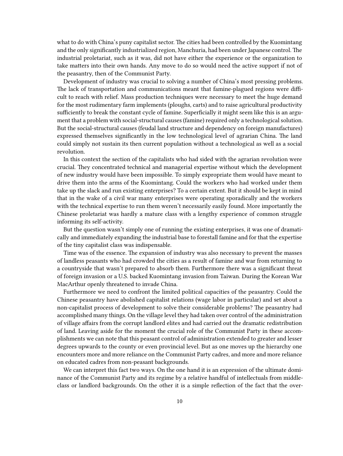what to do with China's puny capitalist sector. The cities had been controlled by the Kuomintang and the only significantly industrialized region, Manchuria, had been under Japanese control. The industrial proletariat, such as it was, did not have either the experience or the organization to take matters into their own hands. Any move to do so would need the active support if not of the peasantry, then of the Communist Party.

Development of industry was crucial to solving a number of China's most pressing problems. The lack of transportation and communications meant that famine-plagued regions were difficult to reach with relief. Mass production techniques were necessary to meet the huge demand for the most rudimentary farm implements (ploughs, carts) and to raise agricultural productivity sufficiently to break the constant cycle of famine. Superficially it might seem like this is an argument that a problem with social-structural causes (famine) required only a technological solution. But the social-structural causes (feudal land structure and dependency on foreign manufactures) expressed themselves significantly in the low technological level of agrarian China. The land could simply not sustain its then current population without a technological as well as a social revolution.

In this context the section of the capitalists who had sided with the agrarian revolution were crucial. They concentrated technical and managerial expertise without which the development of new industry would have been impossible. To simply expropriate them would have meant to drive them into the arms of the Kuomintang. Could the workers who had worked under them take up the slack and run existing enterprises? To a certain extent. But it should be kept in mind that in the wake of a civil war many enterprises were operating sporadically and the workers with the technical expertise to run them weren't necessarily easily found. More importantly the Chinese proletariat was hardly a mature class with a lengthy experience of common struggle informing its self-activity.

But the question wasn't simply one of running the existing enterprises, it was one of dramatically and immediately expanding the industrial base to forestall famine and for that the expertise of the tiny capitalist class was indispensable.

Time was of the essence. The expansion of industry was also necessary to prevent the masses of landless peasants who had crowded the cities as a result of famine and war from returning to a countryside that wasn't prepared to absorb them. Furthermore there was a significant threat of foreign invasion or a U.S. backed Kuomintang invasion from Taiwan. During the Korean War MacArthur openly threatened to invade China.

Furthermore we need to confront the limited political capacities of the peasantry. Could the Chinese peasantry have abolished capitalist relations (wage labor in particular) and set about a non-capitalist process of development to solve their considerable problems? The peasantry had accomplished many things. On the village level they had taken over control of the administration of village affairs from the corrupt landlord elites and had carried out the dramatic redistribution of land. Leaving aside for the moment the crucial role of the Communist Party in these accomplishments we can note that this peasant control of administration extended to greater and lesser degrees upwards to the county or even provincial level. But as one moves up the hierarchy one encounters more and more reliance on the Communist Party cadres, and more and more reliance on educated cadres from non-peasant backgrounds.

We can interpret this fact two ways. On the one hand it is an expression of the ultimate dominance of the Communist Party and its regime by a relative handful of intellectuals from middleclass or landlord backgrounds. On the other it is a simple reflection of the fact that the over-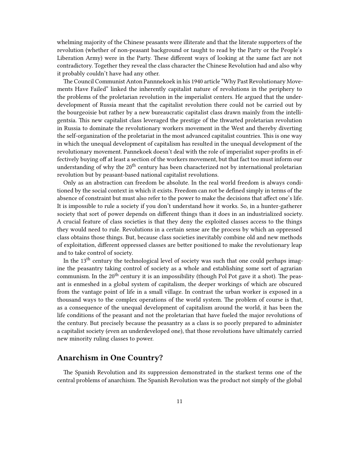whelming majority of the Chinese peasants were illiterate and that the literate supporters of the revolution (whether of non-peasant background or taught to read by the Party or the People's Liberation Army) were in the Party. These different ways of looking at the same fact are not contradictory. Together they reveal the class character the Chinese Revolution had and also why it probably couldn't have had any other.

The Council Communist Anton Pannnekoek in his 1940 article "Why Past Revolutionary Movements Have Failed" linked the inherently capitalist nature of revolutions in the periphery to the problems of the proletarian revolution in the imperialist centers. He argued that the underdevelopment of Russia meant that the capitalist revolution there could not be carried out by the bourgeoisie but rather by a new bureaucratic capitalist class drawn mainly from the intelligentsia. This new capitalist class leveraged the prestige of the thwarted proletarian revolution in Russia to dominate the revolutionary workers movement in the West and thereby diverting the self-organization of the proletariat in the most advanced capitalist countries. This is one way in which the unequal development of capitalism has resulted in the unequal development of the revolutionary movement. Pannekoek doesn't deal with the role of imperialist super-profits in effectively buying off at least a section of the workers movement, but that fact too must inform our understanding of why the  $20<sup>th</sup>$  century has been characterized not by international proletarian revolution but by peasant-based national capitalist revolutions.

Only as an abstraction can freedom be absolute. In the real world freedom is always conditioned by the social context in which it exists. Freedom can not be defined simply in terms of the absence of constraint but must also refer to the power to make the decisions that affect one's life. It is impossible to rule a society if you don't understand how it works. So, in a hunter-gatherer society that sort of power depends on different things than it does in an industrialized society. A crucial feature of class societies is that they deny the exploited classes access to the things they would need to rule. Revolutions in a certain sense are the process by which an oppressed class obtains those things. But, because class societies inevitably combine old and new methods of exploitation, different oppressed classes are better positioned to make the revolutionary leap and to take control of society.

In the 13<sup>th</sup> century the technological level of society was such that one could perhaps imagine the peasantry taking control of society as a whole and establishing some sort of agrarian communism. In the 20<sup>th</sup> century it is an impossibility (though Pol Pot gave it a shot). The peasant is enmeshed in a global system of capitalism, the deeper workings of which are obscured from the vantage point of life in a small village. In contrast the urban worker is exposed in a thousand ways to the complex operations of the world system. The problem of course is that, as a consequence of the unequal development of capitalism around the world, it has been the life conditions of the peasant and not the proletarian that have fueled the major revolutions of the century. But precisely because the peasantry as a class is so poorly prepared to administer a capitalist society (even an underdeveloped one), that those revolutions have ultimately carried new minority ruling classes to power.

## <span id="page-10-0"></span>**Anarchism in One Country?**

The Spanish Revolution and its suppression demonstrated in the starkest terms one of the central problems of anarchism. The Spanish Revolution was the product not simply of the global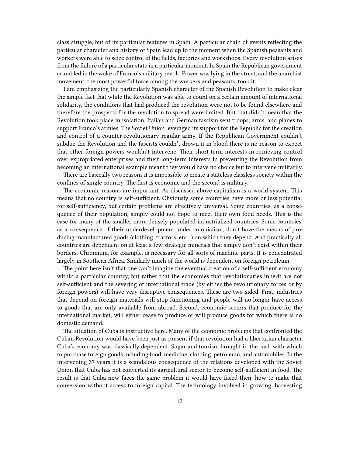class struggle, but of its particular features in Spain. A particular chain of events reflecting the particular character and history of Spain lead up to the moment when the Spanish peasants and workers were able to seize control of the fields, factories and workshops. Every revolution arises from the failure of a particular state in a particular moment. In Spain the Republican government crumbled in the wake of Franco's military revolt. Power was lying in the street, and the anarchist movement, the most powerful force among the workers and peasants, took it.

I am emphasizing the particularly Spanish character of the Spanish Revolution to make clear the simple fact that while the Revolution was able to count on a certain amount of international solidarity, the conditions that had produced the revolution were not to be found elsewhere and therefore the prospects for the revolution to spread were limited. But that didn't mean that the Revolution took place in isolation. Italian and German fascism sent troops, arms, and planes to support Franco's armies. The Soviet Union leveraged its support for the Republic for the creation and control of a counter-revolutionary regular army. If the Republican Government couldn't subdue the Revolution and the fascists couldn't drown it in blood there is no reason to expect that other foreign powers wouldn't intervene. Their short-term interests in retrieving control over expropriated enterprises and their long-term interests in preventing the Revolution from becoming an international example meant they would have no choice but to intervene militarily.

There are basically two reasons it is impossible to create a stateless classless society within the confines of single country. The first is economic and the second is military.

The economic reasons are important. As discussed above capitalism is a world system. This means that no country is self-sufficient. Obviously some countries have more or less potential for self-sufficiency, but certain problems are effectively universal. Some countries, as a consequence of their population, simply could not hope to meet their own food needs. This is the case for many of the smaller more densely populated industrialized countries. Some countries, as a consequence of their underdevelopment under colonialism, don't have the means of producing manufactured goods (clothing, tractors, etc…) on which they depend. And practically all countries are dependent on at least a few strategic minerals that simply don't exist within their borders. Chromium, for example, is necessary for all sorts of machine parts. It is concentrated largely in Southern Africa. Similarly much of the world is dependent on foreign petroleum.

The point here isn't that one can't imagine the eventual creation of a self-sufficient economy within a particular country, but rather that the economies that revolutionaries inherit are not self-sufficient and the severing of international trade (by either the revolutionary forces or by foreign powers) will have very disruptive consequences. These are two-sided. First, industries that depend on foreign materials will stop functioning and people will no longer have access to goods that are only available from abroad. Second, economic sectors that produce for the international market, will either cease to produce or will produce goods for which there is no domestic demand.

The situation of Cuba is instructive here. Many of the economic problems that confronted the Cuban Revolution would have been just as present if that revolution had a libertarian character. Cuba's economy was classically dependent. Sugar and tourism brought in the cash with which to purchase foreign goods including food, medicine, clothing, petroleum, and automobiles. In the intervening 37 years it is a scandalous consequence of the relations developed with the Soviet Union that Cuba has not converted its agricultural sector to become self-sufficient in food. The result is that Cuba now faces the same problem it would have faced then: how to make that conversion without access to foreign capital. The technology involved in growing, harvesting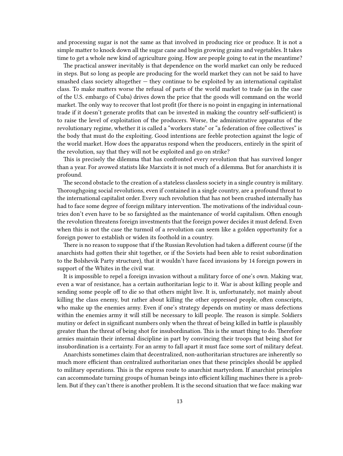and processing sugar is not the same as that involved in producing rice or produce. It is not a simple matter to knock down all the sugar cane and begin growing grains and vegetables. It takes time to get a whole new kind of agriculture going. How are people going to eat in the meantime?

The practical answer inevitably is that dependence on the world market can only be reduced in steps. But so long as people are producing for the world market they can not be said to have smashed class society altogether  $-$  they continue to be exploited by an international capitalist class. To make matters worse the refusal of parts of the world market to trade (as in the case of the U.S. embargo of Cuba) drives down the price that the goods will command on the world market. The only way to recover that lost profit (for there is no point in engaging in international trade if it doesn't generate profits that can be invested in making the country self-sufficient) is to raise the level of exploitation of the producers. Worse, the administrative apparatus of the revolutionary regime, whether it is called a "workers state" or "a federation of free collectives" is the body that must do the exploiting. Good intentions are feeble protection against the logic of the world market. How does the apparatus respond when the producers, entirely in the spirit of the revolution, say that they will not be exploited and go on strike?

This is precisely the dilemma that has confronted every revolution that has survived longer than a year. For avowed statists like Marxists it is not much of a dilemma. But for anarchists it is profound.

The second obstacle to the creation of a stateless classless society in a single country is military. Thoroughgoing social revolutions, even if contained in a single country, are a profound threat to the international capitalist order. Every such revolution that has not been crushed internally has had to face some degree of foreign military intervention. The motivations of the individual countries don't even have to be so farsighted as the maintenance of world capitalism. Often enough the revolution threatens foreign investments that the foreign power decides it must defend. Even when this is not the case the turmoil of a revolution can seem like a golden opportunity for a foreign power to establish or widen its foothold in a country.

There is no reason to suppose that if the Russian Revolution had taken a different course (if the anarchists had gotten their shit together, or if the Soviets had been able to resist subordination to the Bolshevik Party structure), that it wouldn't have faced invasions by 14 foreign powers in support of the Whites in the civil war.

It is impossible to repel a foreign invasion without a military force of one's own. Making war, even a war of resistance, has a certain authoritarian logic to it. War is about killing people and sending some people off to die so that others might live. It is, unfortunately, not mainly about killing the class enemy, but rather about killing the other oppressed people, often conscripts, who make up the enemies army. Even if one's strategy depends on mutiny or mass defections within the enemies army it will still be necessary to kill people. The reason is simple. Soldiers mutiny or defect in significant numbers only when the threat of being killed in battle is plausibly greater than the threat of being shot for insubordination. This is the smart thing to do. Therefore armies maintain their internal discipline in part by convincing their troops that being shot for insubordination is a certainty. For an army to fall apart it must face some sort of military defeat.

Anarchists sometimes claim that decentralized, non-authoritarian structures are inherently so much more efficient than centralized authoritarian ones that these principles should be applied to military operations. This is the express route to anarchist martyrdom. If anarchist principles can accommodate turning groups of human beings into efficient killing machines there is a problem. But if they can't there is another problem. It is the second situation that we face: making war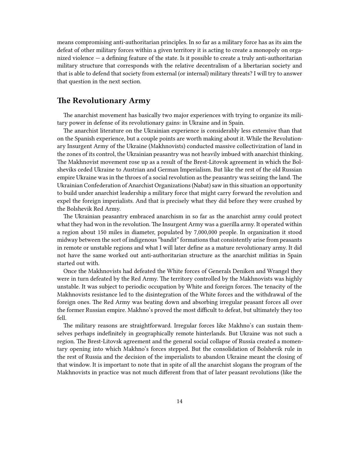means compromising anti-authoritarian principles. In so far as a military force has as its aim the defeat of other military forces within a given territory it is acting to create a monopoly on organized violence — a defining feature of the state. Is it possible to create a truly anti-authoritarian military structure that corresponds with the relative decentralism of a libertarian society and that is able to defend that society from external (or internal) military threats? I will try to answer that question in the next section.

### <span id="page-13-0"></span>**The Revolutionary Army**

The anarchist movement has basically two major experiences with trying to organize its military power in defense of its revolutionary gains: in Ukraine and in Spain.

The anarchist literature on the Ukrainian experience is considerably less extensive than that on the Spanish experience, but a couple points are worth making about it. While the Revolutionary Insurgent Army of the Ukraine (Makhnovists) conducted massive collectivization of land in the zones of its control, the Ukrainian peasantry was not heavily imbued with anarchist thinking. The Makhnovist movement rose up as a result of the Brest-Litovsk agreement in which the Bolsheviks ceded Ukraine to Austrian and German Imperialism. But like the rest of the old Russian empire Ukraine was in the throes of a social revolution as the peasantry was seizing the land. The Ukrainian Confederation of Anarchist Organizations (Nabat) saw in this situation an opportunity to build under anarchist leadership a military force that might carry forward the revolution and expel the foreign imperialists. And that is precisely what they did before they were crushed by the Bolshevik Red Army.

The Ukrainian peasantry embraced anarchism in so far as the anarchist army could protect what they had won in the revolution. The Insurgent Army was a guerilla army. It operated within a region about 150 miles in diameter, populated by 7,000,000 people. In organization it stood midway between the sort of indigenous "bandit" formations that consistently arise from peasants in remote or unstable regions and what I will later define as a mature revolutionary army. It did not have the same worked out anti-authoritarian structure as the anarchist militias in Spain started out with.

Once the Makhnovists had defeated the White forces of Generals Deniken and Wrangel they were in turn defeated by the Red Army. The territory controlled by the Makhnovists was highly unstable. It was subject to periodic occupation by White and foreign forces. The tenacity of the Makhnovists resistance led to the disintegration of the White forces and the withdrawal of the foreign ones. The Red Army was beating down and absorbing irregular peasant forces all over the former Russian empire. Makhno's proved the most difficult to defeat, but ultimately they too fell.

The military reasons are straightforward. Irregular forces like Makhno's can sustain themselves perhaps indefinitely in geographically remote hinterlands. But Ukraine was not such a region. The Brest-Litovsk agreement and the general social collapse of Russia created a momentary opening into which Makhno's forces stepped. But the consolidation of Bolshevik rule in the rest of Russia and the decision of the imperialists to abandon Ukraine meant the closing of that window. It is important to note that in spite of all the anarchist slogans the program of the Makhnovists in practice was not much different from that of later peasant revolutions (like the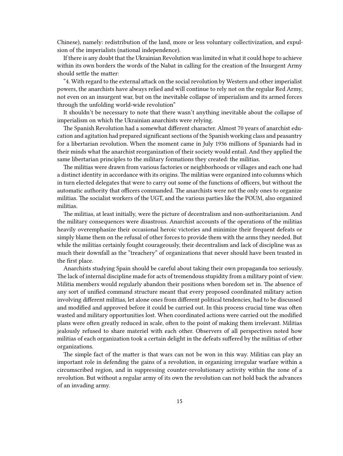Chinese), namely: redistribution of the land, more or less voluntary collectivization, and expulsion of the imperialists (national independence).

If there is any doubt that the Ukrainian Revolution was limited in what it could hope to achieve within its own borders the words of the Nabat in calling for the creation of the Insurgent Army should settle the matter:

"4. With regard to the external attack on the social revolution by Western and other imperialist powers, the anarchists have always relied and will continue to rely not on the regular Red Army, not even on an insurgent war, but on the inevitable collapse of imperialism and its armed forces through the unfolding world-wide revolution"

It shouldn't be necessary to note that there wasn't anything inevitable about the collapse of imperialism on which the Ukrainian anarchists were relying.

The Spanish Revolution had a somewhat different character. Almost 70 years of anarchist education and agitation had prepared significant sections of the Spanish working class and peasantry for a libertarian revolution. When the moment came in July 1936 millions of Spaniards had in their minds what the anarchist reorganization of their society would entail. And they applied the same libertarian principles to the military formations they created: the militias.

The militias were drawn from various factories or neighborhoods or villages and each one had a distinct identity in accordance with its origins. The militias were organized into columns which in turn elected delegates that were to carry out some of the functions of officers, but without the automatic authority that officers commanded. The anarchists were not the only ones to organize militias. The socialist workers of the UGT, and the various parties like the POUM, also organized militias.

The militias, at least initially, were the picture of decentralism and non-authoritarianism. And the military consequences were disastrous. Anarchist accounts of the operations of the militias heavily overemphasize their occasional heroic victories and minimize their frequent defeats or simply blame them on the refusal of other forces to provide them with the arms they needed. But while the militias certainly fought courageously, their decentralism and lack of discipline was as much their downfall as the "treachery" of organizations that never should have been trusted in the first place.

Anarchists studying Spain should be careful about taking their own propaganda too seriously. The lack of internal discipline made for acts of tremendous stupidity from a military point of view. Militia members would regularly abandon their positions when boredom set in. The absence of any sort of unified command structure meant that every proposed coordinated military action involving different militias, let alone ones from different political tendencies, had to be discussed and modified and approved before it could be carried out. In this process crucial time was often wasted and military opportunities lost. When coordinated actions were carried out the modified plans were often greatly reduced in scale, often to the point of making them irrelevant. Militias jealously refused to share materiel with each other. Observers of all perspectives noted how militias of each organization took a certain delight in the defeats suffered by the militias of other organizations.

The simple fact of the matter is that wars can not be won in this way. Militias can play an important role in defending the gains of a revolution, in organizing irregular warfare within a circumscribed region, and in suppressing counter-revolutionary activity within the zone of a revolution. But without a regular army of its own the revolution can not hold back the advances of an invading army.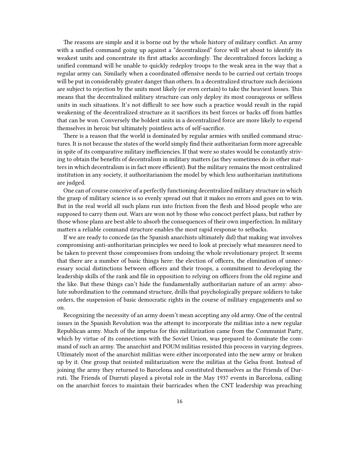The reasons are simple and it is borne out by the whole history of military conflict. An army with a unified command going up against a "decentralized" force will set about to identify its weakest units and concentrate its first attacks accordingly. The decentralized forces lacking a unified command will be unable to quickly redeploy troops to the weak area in the way that a regular army can. Similarly when a coordinated offensive needs to be carried out certain troops will be put in considerably greater danger than others. In a decentralized structure such decisions are subject to rejection by the units most likely (or even certain) to take the heaviest losses. This means that the decentralized military structure can only deploy its most courageous or selfless units in such situations. It's not difficult to see how such a practice would result in the rapid weakening of the decentralized structure as it sacrifices its best forces or backs off from battles that can be won. Conversely the boldest units in a decentralized force are more likely to expend themselves in heroic but ultimately pointless acts of self-sacrifice.

There is a reason that the world is dominated by regular armies with unified command structures. It is not because the states of the world simply find their authoritarian form more agreeable in spite of its comparative military inefficiencies. If that were so states would be constantly striving to obtain the benefits of decentralism in military matters (as they sometimes do in other matters in which decentralism is in fact more efficient). But the military remains the most centralized institution in any society, it authoritarianism the model by which less authoritarian institutions are judged.

One can of course conceive of a perfectly functioning decentralized military structure in which the grasp of military science is so evenly spread out that it makes no errors and goes on to win. But in the real world all such plans run into friction from the flesh and blood people who are supposed to carry them out. Wars are won not by those who concoct perfect plans, but rather by those whose plans are best able to absorb the consequences of their own imperfection. In military matters a reliable command structure enables the most rapid response to setbacks.

If we are ready to concede (as the Spanish anarchists ultimately did) that making war involves compromising anti-authoritarian principles we need to look at precisely what measures need to be taken to prevent those compromises from undoing the whole revolutionary project. It seems that there are a number of basic things here: the election of officers, the elimination of unnecessary social distinctions between officers and their troops, a commitment to developing the leadership skills of the rank and file in opposition to relying on officers from the old regime and the like. But these things can't hide the fundamentally authoritarian nature of an army: absolute subordination to the command structure, drills that psychologically prepare soldiers to take orders, the suspension of basic democratic rights in the course of military engagements and so on.

Recognizing the necessity of an army doesn't mean accepting any old army. One of the central issues in the Spanish Revolution was the attempt to incorporate the militias into a new regular Republican army. Much of the impetus for this militarization came from the Communist Party, which by virtue of its connections with the Soviet Union, was prepared to dominate the command of such an army. The anarchist and POUM militias resisted this process in varying degrees. Ultimately most of the anarchist militias were either incorporated into the new army or broken up by it. One group that resisted militarization were the militias at the Gelsa front. Instead of joining the army they returned to Barcelona and constituted themselves as the Friends of Durruti. The Friends of Durruti played a pivotal role in the May 1937 events in Barcelona, calling on the anarchist forces to maintain their barricades when the CNT leadership was preaching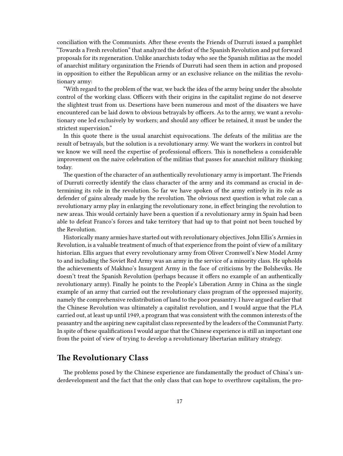conciliation with the Communists. After these events the Friends of Durruti issued a pamphlet "Towards a Fresh revolution" that analyzed the defeat of the Spanish Revolution and put forward proposals for its regeneration. Unlike anarchists today who see the Spanish militias as the model of anarchist military organization the Friends of Durruti had seen them in action and proposed in opposition to either the Republican army or an exclusive reliance on the militias the revolutionary army:

"With regard to the problem of the war, we back the idea of the army being under the absolute control of the working class. Officers with their origins in the capitalist regime do not deserve the slightest trust from us. Desertions have been numerous and most of the disasters we have encountered can be laid down to obvious betrayals by officers. As to the army, we want a revolutionary one led exclusively by workers; and should any officer be retained, it must be under the strictest supervision."

In this quote there is the usual anarchist equivocations. The defeats of the militias are the result of betrayals, but the solution is a revolutionary army. We want the workers in control but we know we will need the expertise of professional officers. This is nonetheless a considerable improvement on the naive celebration of the militias that passes for anarchist military thinking today.

The question of the character of an authentically revolutionary army is important. The Friends of Durruti correctly identify the class character of the army and its command as crucial in determining its role in the revolution. So far we have spoken of the army entirely in its role as defender of gains already made by the revolution. The obvious next question is what role can a revolutionary army play in enlarging the revolutionary zone, in effect bringing the revolution to new areas. This would certainly have been a question if a revolutionary army in Spain had been able to defeat Franco's forces and take territory that had up to that point not been touched by the Revolution.

Historically many armies have started out with revolutionary objectives. John Ellis's Armies in Revolution, is a valuable treatment of much of that experience from the point of view of a military historian. Ellis argues that every revolutionary army from Oliver Cromwell's New Model Army to and including the Soviet Red Army was an army in the service of a minority class. He upholds the achievements of Makhno's Insurgent Army in the face of criticisms by the Bolsheviks. He doesn't treat the Spanish Revolution (perhaps because it offers no example of an authentically revolutionary army). Finally he points to the People's Liberation Army in China as the single example of an army that carried out the revolutionary class program of the oppressed majority, namely the comprehensive redistribution of land to the poor peasantry. I have argued earlier that the Chinese Revolution was ultimately a capitalist revolution, and I would argue that the PLA carried out, at least up until 1949, a program that was consistent with the common interests of the peasantry and the aspiring new capitalist class represented by the leaders of the Communist Party. In spite of these qualifications I would argue that the Chinese experience is still an important one from the point of view of trying to develop a revolutionary libertarian military strategy.

## <span id="page-16-0"></span>**The Revolutionary Class**

The problems posed by the Chinese experience are fundamentally the product of China's underdevelopment and the fact that the only class that can hope to overthrow capitalism, the pro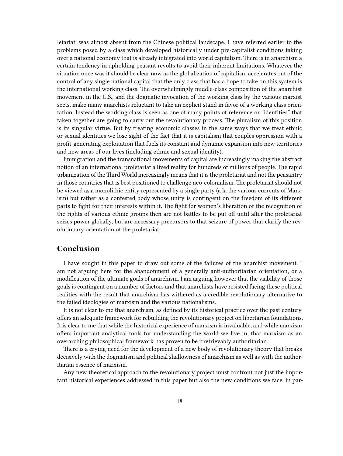letariat, was almost absent from the Chinese political landscape. I have referred earlier to the problems posed by a class which developed historically under pre-capitalist conditions taking over a national economy that is already integrated into world capitalism. There is in anarchism a certain tendency in upholding peasant revolts to avoid their inherent limitations. Whatever the situation once was it should be clear now as the globalization of capitalism accelerates out of the control of any single national capital that the only class that has a hope to take on this system is the international working class. The overwhelmingly middle-class composition of the anarchist movement in the U.S., and the dogmatic invocation of the working class by the various marxist sects, make many anarchists reluctant to take an explicit stand in favor of a working class orientation. Instead the working class is seen as one of many points of reference or "identities" that taken together are going to carry out the revolutionary process. The pluralism of this position is its singular virtue. But by treating economic classes in the same ways that we treat ethnic or sexual identities we lose sight of the fact that it is capitalism that couples oppression with a profit-generating exploitation that fuels its constant and dynamic expansion into new territories and new areas of our lives (including ethnic and sexual identity).

Immigration and the transnational movements of capital are increasingly making the abstract notion of an international proletariat a lived reality for hundreds of millions of people. The rapid urbanization of the Third World increasingly means that it is the proletariat and not the peasantry in those countries that is best positioned to challenge neo-colonialism. The proletariat should not be viewed as a monolithic entity represented by a single party (a la the various currents of Marxism) but rather as a contested body whose unity is contingent on the freedom of its different parts to fight for their interests within it. The fight for women's liberation or the recognition of the rights of various ethnic groups then are not battles to be put off until after the proletariat seizes power globally, but are necessary precursors to that seizure of power that clarify the revolutionary orientation of the proletariat.

## <span id="page-17-0"></span>**Conclusion**

I have sought in this paper to draw out some of the failures of the anarchist movement. I am not arguing here for the abandonment of a generally anti-authoritarian orientation, or a modification of the ultimate goals of anarchism. I am arguing however that the viability of those goals is contingent on a number of factors and that anarchists have resisted facing these political realities with the result that anarchism has withered as a credible revolutionary alternative to the failed ideologies of marxism and the various nationalisms.

It is not clear to me that anarchism, as defined by its historical practice over the past century, offers an adequate framework for rebuilding the revolutionary project on libertarian foundations. It is clear to me that while the historical experience of marxism is invaluable, and while marxism offers important analytical tools for understanding the world we live in, that marxism as an overarching philosophical framework has proven to be irretrievably authoritarian.

There is a crying need for the development of a new body of revolutionary theory that breaks decisively with the dogmatism and political shallowness of anarchism as well as with the authoritarian essence of marxism.

Any new theoretical approach to the revolutionary project must confront not just the important historical experiences addressed in this paper but also the new conditions we face, in par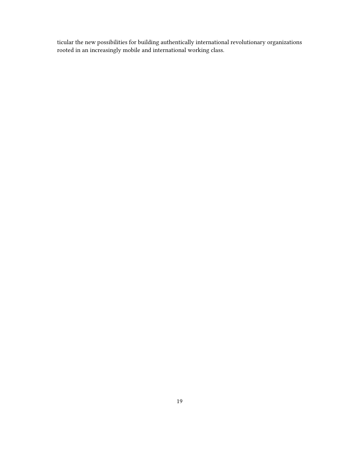ticular the new possibilities for building authentically international revolutionary organizations rooted in an increasingly mobile and international working class.